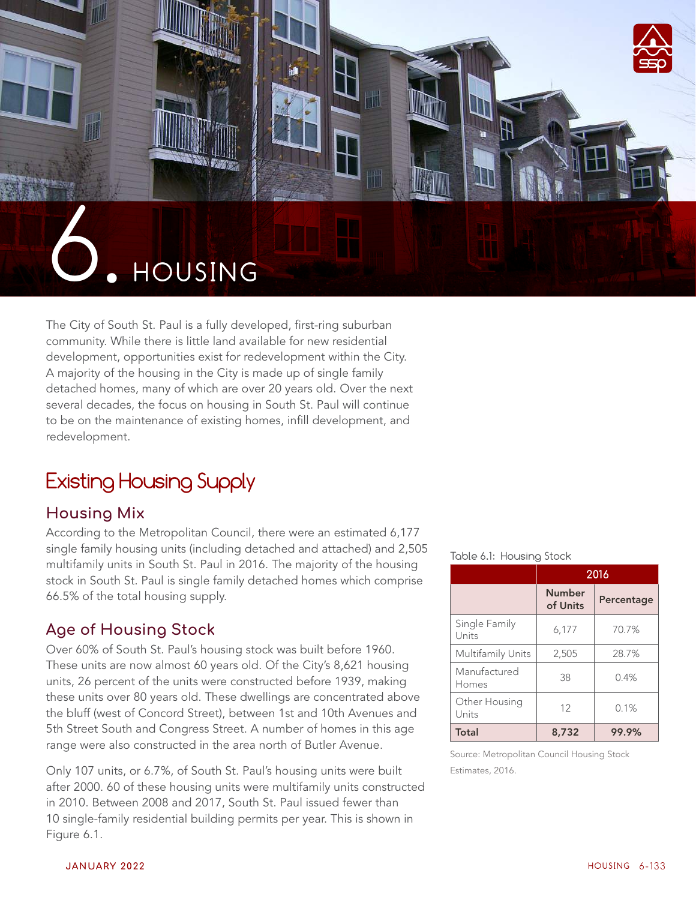

The City of South St. Paul is a fully developed, first-ring suburban community. While there is little land available for new residential development, opportunities exist for redevelopment within the City. A majority of the housing in the City is made up of single family detached homes, many of which are over 20 years old. Over the next several decades, the focus on housing in South St. Paul will continue to be on the maintenance of existing homes, infill development, and redevelopment.

# Existing Housing Supply

# **Housing Mix**

According to the Metropolitan Council, there were an estimated 6,177 single family housing units (including detached and attached) and 2,505 multifamily units in South St. Paul in 2016. The majority of the housing stock in South St. Paul is single family detached homes which comprise 66.5% of the total housing supply.

# **Age of Housing Stock**

Over 60% of South St. Paul's housing stock was built before 1960. These units are now almost 60 years old. Of the City's 8,621 housing units, 26 percent of the units were constructed before 1939, making these units over 80 years old. These dwellings are concentrated above the bluff (west of Concord Street), between 1st and 10th Avenues and 5th Street South and Congress Street. A number of homes in this age range were also constructed in the area north of Butler Avenue.

Only 107 units, or 6.7%, of South St. Paul's housing units were built after 2000. 60 of these housing units were multifamily units constructed in 2010. Between 2008 and 2017, South St. Paul issued fewer than 10 single-family residential building permits per year. This is shown in Figure 6.1.

#### Table 6.1: Housing Stock

|                          | 2016                      |            |  |
|--------------------------|---------------------------|------------|--|
|                          | <b>Number</b><br>of Units | Percentage |  |
| Single Family<br>Units   | 6,177                     | 70.7%      |  |
| <b>Multifamily Units</b> | 2,505                     | 28.7%      |  |
| Manufactured<br>Homes    | 38                        | 0.4%       |  |
| Other Housing<br>Units   | 12                        | 0.1%       |  |
| Total                    | 8,732                     | 99.9%      |  |

Source: Metropolitan Council Housing Stock Estimates, 2016.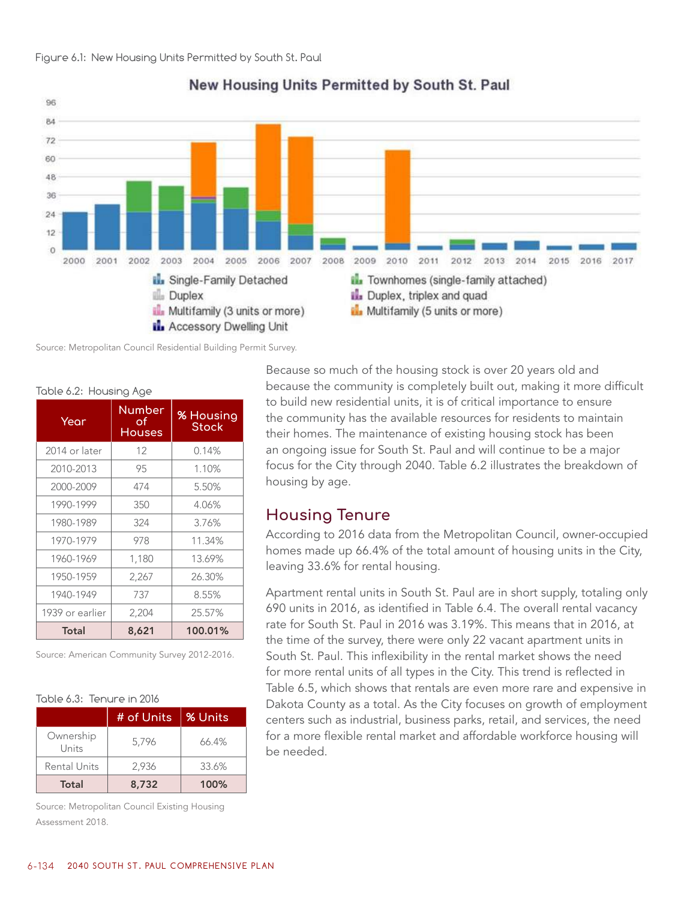

### New Housing Units Permitted by South St. Paul

Source: Metropolitan Council Residential Building Permit Survey.

| Year            | <b>Number</b><br>оf<br><b>Houses</b> | % Housing<br>Stock |
|-----------------|--------------------------------------|--------------------|
| 2014 or later   | 12                                   | 0.14%              |
| 2010-2013       | 95                                   | 1.10%              |
| 2000-2009       | 474                                  | 5.50%              |
| 1990-1999       | 350                                  | 4.06%              |
| 1980-1989       | 324                                  | 3.76%              |
| 1970-1979       | 978                                  | 11.34%             |
| 1960-1969       | 1,180                                | 13.69%             |
| 1950-1959       | 2,267                                | 26.30%             |
| 1940-1949       | 737                                  | 8.55%              |
| 1939 or earlier | 2,204                                | 25.57%             |
| Total           | 8,621                                | 100.01%            |

Table 6.2: Housing Age

Source: American Community Survey 2012-2016.

#### Table 6.3: Tenure in 2016

|                    | # of Units | % Units |
|--------------------|------------|---------|
| Ownership<br>Units | 5.796      | 66.4%   |
| Rental Units       | 2,936      | 33.6%   |
| Total              | 8,732      | 100%    |

Source: Metropolitan Council Existing Housing Assessment 2018.

Because so much of the housing stock is over 20 years old and because the community is completely built out, making it more difficult to build new residential units, it is of critical importance to ensure the community has the available resources for residents to maintain their homes. The maintenance of existing housing stock has been an ongoing issue for South St. Paul and will continue to be a major focus for the City through 2040. Table 6.2 illustrates the breakdown of housing by age.

## **Housing Tenure**

According to 2016 data from the Metropolitan Council, owner-occupied homes made up 66.4% of the total amount of housing units in the City, leaving 33.6% for rental housing.

Apartment rental units in South St. Paul are in short supply, totaling only 690 units in 2016, as identified in Table 6.4. The overall rental vacancy rate for South St. Paul in 2016 was 3.19%. This means that in 2016, at the time of the survey, there were only 22 vacant apartment units in South St. Paul. This inflexibility in the rental market shows the need for more rental units of all types in the City. This trend is reflected in Table 6.5, which shows that rentals are even more rare and expensive in Dakota County as a total. As the City focuses on growth of employment centers such as industrial, business parks, retail, and services, the need for a more flexible rental market and affordable workforce housing will be needed.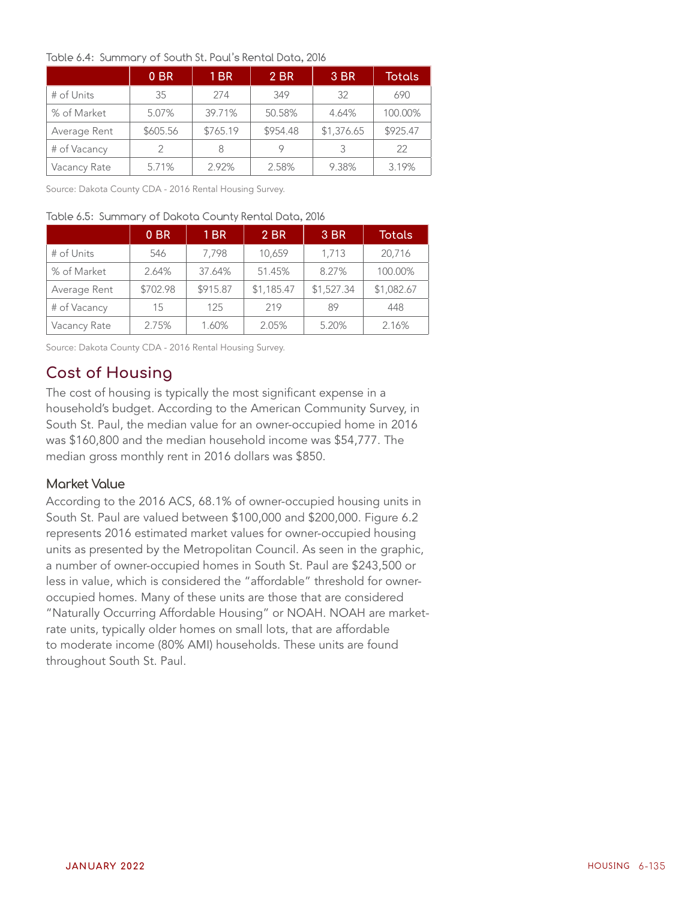#### Table 6.4: Summary of South St. Paul's Rental Data, 2016

|              | 0 <sub>BR</sub> | 1 <sub>BR</sub> | 2 BR     | 3 BR       | Totals   |
|--------------|-----------------|-----------------|----------|------------|----------|
| # of Units   | 35              | 274             | 349      | 32         | 690      |
| % of Market  | 5.07%           | 39.71%          | 50.58%   | 4.64%      | 100.00%  |
| Average Rent | \$605.56        | \$765.19        | \$954.48 | \$1,376.65 | \$925.47 |
| # of Vacancy | $\mathcal{P}$   | 8               | 9        | 3          | 22       |
| Vacancy Rate | 5.71%           | 2.92%           | 2.58%    | 9.38%      | 3.19%    |

Source: Dakota County CDA - 2016 Rental Housing Survey.

#### Table 6.5: Summary of Dakota County Rental Data, 2016

|              | 0 <sub>BR</sub> | 1 <sub>BR</sub> | 2 BR       | 3 BR       | <b>Totals</b> |
|--------------|-----------------|-----------------|------------|------------|---------------|
| # of Units   | 546             | 7.798           | 10,659     | 1,713      | 20,716        |
| % of Market  | 2.64%           | 37.64%          | 51.45%     | 8.27%      | 100.00%       |
| Average Rent | \$702.98        | \$915.87        | \$1,185.47 | \$1,527.34 | \$1,082.67    |
| # of Vacancy | 15              | 125             | 219        | 89         | 448           |
| Vacancy Rate | 2.75%           | 1.60%           | 2.05%      | 5.20%      | 2.16%         |

Source: Dakota County CDA - 2016 Rental Housing Survey.

# **Cost of Housing**

The cost of housing is typically the most significant expense in a household's budget. According to the American Community Survey, in South St. Paul, the median value for an owner-occupied home in 2016 was \$160,800 and the median household income was \$54,777. The median gross monthly rent in 2016 dollars was \$850.

#### **Market Value**

According to the 2016 ACS, 68.1% of owner-occupied housing units in South St. Paul are valued between \$100,000 and \$200,000. Figure 6.2 represents 2016 estimated market values for owner-occupied housing units as presented by the Metropolitan Council. As seen in the graphic, a number of owner-occupied homes in South St. Paul are \$243,500 or less in value, which is considered the "affordable" threshold for owneroccupied homes. Many of these units are those that are considered "Naturally Occurring Affordable Housing" or NOAH. NOAH are marketrate units, typically older homes on small lots, that are affordable to moderate income (80% AMI) households. These units are found throughout South St. Paul.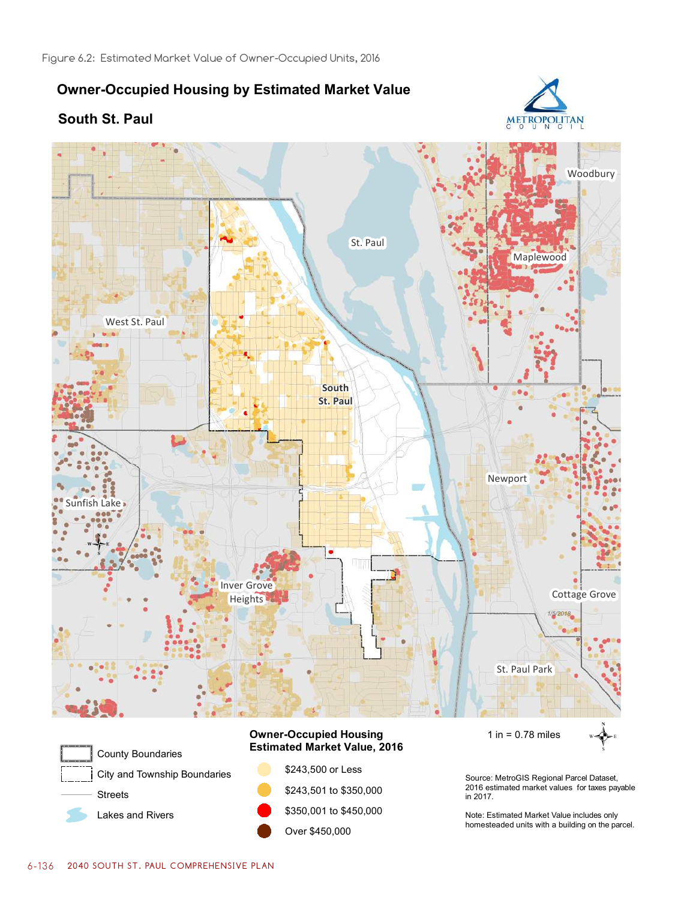# **Owner-Occupied Housing by Estimated Market Value**





Lakes and Rivers

\$243,501 to \$350,000 \$350,001 to \$450,000 Over \$450,000

2016 estimated market values for taxes payable in 2017.

METROPOLITAN

Note: Estimated Market Value includes only homesteaded units with a building on the parcel.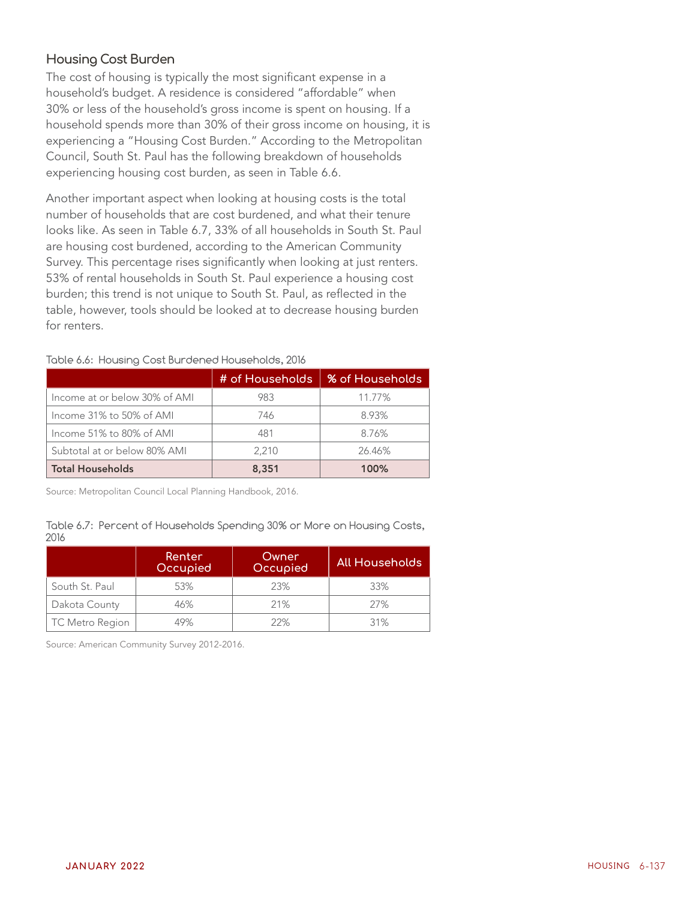### **Housing Cost Burden**

The cost of housing is typically the most significant expense in a household's budget. A residence is considered "affordable" when 30% or less of the household's gross income is spent on housing. If a household spends more than 30% of their gross income on housing, it is experiencing a "Housing Cost Burden." According to the Metropolitan Council, South St. Paul has the following breakdown of households experiencing housing cost burden, as seen in Table 6.6.

Another important aspect when looking at housing costs is the total number of households that are cost burdened, and what their tenure looks like. As seen in Table 6.7, 33% of all households in South St. Paul are housing cost burdened, according to the American Community Survey. This percentage rises significantly when looking at just renters. 53% of rental households in South St. Paul experience a housing cost burden; this trend is not unique to South St. Paul, as reflected in the table, however, tools should be looked at to decrease housing burden for renters.

|                               | # of Households | <b>% of Households</b> |
|-------------------------------|-----------------|------------------------|
| Income at or below 30% of AMI | 983             | 11.77%                 |
| Income 31% to 50% of AMI      | 746             | 8.93%                  |
| Income 51% to 80% of AMI      | 481             | 8.76%                  |
| Subtotal at or below 80% AMI  | 2.210           | 26.46%                 |
| <b>Total Households</b>       | 8,351           | 100%                   |

#### Table 6.6: Housing Cost Burdened Households, 2016

Source: Metropolitan Council Local Planning Handbook, 2016.

#### Table 6.7: Percent of Households Spending 30% or More on Housing Costs, 2016

|                        | Renter<br>Occupied | Owner<br>Occupied | All Households |
|------------------------|--------------------|-------------------|----------------|
| South St. Paul         | 53%                | 23%               | 33%            |
| Dakota County          | 46%                | 21%               | 27%            |
| <b>TC Metro Region</b> | 49%                | 22%               | 31%            |

Source: American Community Survey 2012-2016.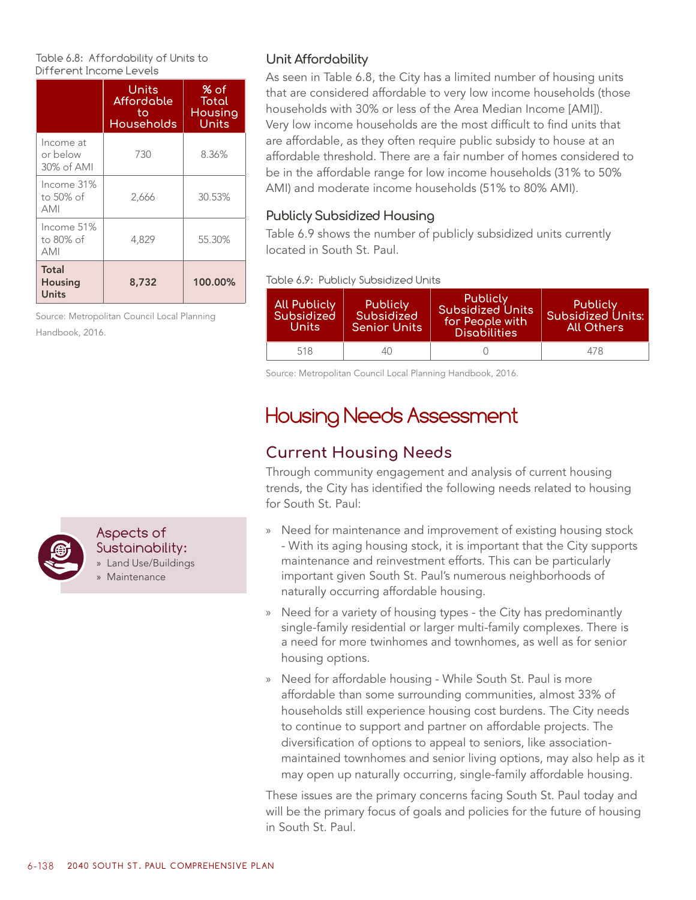Table 6.8: Affordability of Units to Different Income Levels

|                                       | Units<br>Affordable<br>to<br><b>Households</b> | % of<br>Total<br><b>Housing</b><br>Units |
|---------------------------------------|------------------------------------------------|------------------------------------------|
| Income at<br>or below<br>30% of AMI   | 730                                            | 8.36%                                    |
| Income 31%<br>to 50% of<br><b>AMI</b> | 2,666                                          | 30.53%                                   |
| Income 51%<br>to 80% of<br><b>AMI</b> | 4,829                                          | 55.30%                                   |
| Total<br><b>Housing</b><br>Units      | 8,732                                          | 100.00%                                  |

Source: Metropolitan Council Local Planning Handbook, 2016.

## **Unit Affordability**

As seen in Table 6.8, the City has a limited number of housing units that are considered affordable to very low income households (those households with 30% or less of the Area Median Income [AMI]). Very low income households are the most difficult to find units that are affordable, as they often require public subsidy to house at an affordable threshold. There are a fair number of homes considered to be in the affordable range for low income households (31% to 50% AMI) and moderate income households (51% to 80% AMI).

### **Publicly Subsidized Housing**

Table 6.9 shows the number of publicly subsidized units currently located in South St. Paul.

Table 6.9: Publicly Subsidized Units

| <b>All Publicly</b><br>Subsidized<br>Units | <b>Publicly</b><br>Subsidized<br><b>Senior Units</b> | Publicly<br><b>Subsidized Units</b><br>for People with<br><b>Disabilities</b> | Publicly<br><b>Subsidized Units:</b><br>All Others |
|--------------------------------------------|------------------------------------------------------|-------------------------------------------------------------------------------|----------------------------------------------------|
| 518                                        | 40                                                   |                                                                               | 478                                                |

Source: Metropolitan Council Local Planning Handbook, 2016.

# Housing Needs Assessment

# **Current Housing Needs**

Through community engagement and analysis of current housing trends, the City has identified the following needs related to housing for South St. Paul:

- » Need for maintenance and improvement of existing housing stock - With its aging housing stock, it is important that the City supports maintenance and reinvestment efforts. This can be particularly important given South St. Paul's numerous neighborhoods of naturally occurring affordable housing.
- » Need for a variety of housing types the City has predominantly single-family residential or larger multi-family complexes. There is a need for more twinhomes and townhomes, as well as for senior housing options.
- » Need for affordable housing While South St. Paul is more affordable than some surrounding communities, almost 33% of households still experience housing cost burdens. The City needs to continue to support and partner on affordable projects. The diversification of options to appeal to seniors, like associationmaintained townhomes and senior living options, may also help as it may open up naturally occurring, single-family affordable housing.

These issues are the primary concerns facing South St. Paul today and will be the primary focus of goals and policies for the future of housing in South St. Paul.



#### Aspects of Sustainability:

» Land Use/Buildings

» Maintenance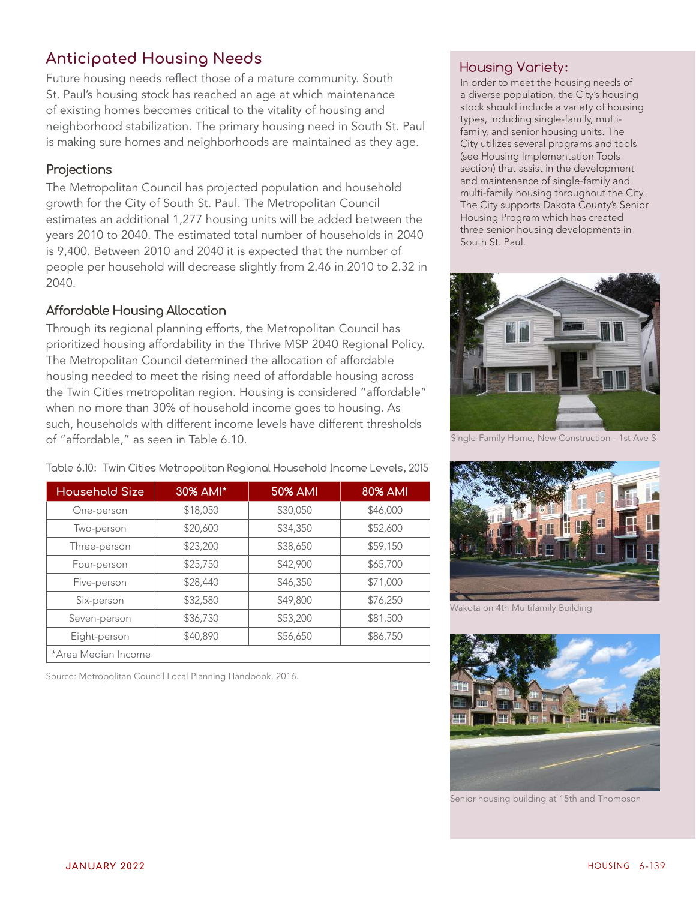# **Anticipated Housing Needs**

Future housing needs reflect those of a mature community. South St. Paul's housing stock has reached an age at which maintenance of existing homes becomes critical to the vitality of housing and neighborhood stabilization. The primary housing need in South St. Paul is making sure homes and neighborhoods are maintained as they age.

### **Projections**

The Metropolitan Council has projected population and household growth for the City of South St. Paul. The Metropolitan Council estimates an additional 1,277 housing units will be added between the years 2010 to 2040. The estimated total number of households in 2040 is 9,400. Between 2010 and 2040 it is expected that the number of people per household will decrease slightly from 2.46 in 2010 to 2.32 in 2040.

## **Affordable Housing Allocation**

Through its regional planning efforts, the Metropolitan Council has prioritized housing affordability in the Thrive MSP 2040 Regional Policy. The Metropolitan Council determined the allocation of affordable housing needed to meet the rising need of affordable housing across the Twin Cities metropolitan region. Housing is considered "affordable" when no more than 30% of household income goes to housing. As such, households with different income levels have different thresholds of "affordable," as seen in Table 6.10.

| <b>Household Size</b> | 30% AMI* | <b>50% AMI</b> | <b>80% AMI</b> |
|-----------------------|----------|----------------|----------------|
| One-person            | \$18,050 | \$30,050       | \$46,000       |
| Two-person            | \$20,600 | \$34,350       | \$52,600       |
| Three-person          | \$23,200 | \$38,650       | \$59,150       |
| Four-person           | \$25,750 | \$42,900       | \$65,700       |
| Five-person           | \$28,440 | \$46,350       | \$71,000       |
| Six-person            | \$32,580 | \$49,800       | \$76,250       |
| Seven-person          | \$36,730 | \$53,200       | \$81,500       |
| Eight-person          | \$40,890 | \$56,650       | \$86,750       |
| *Area Median Income   |          |                |                |

Table 6.10: Twin Cities Metropolitan Regional Household Income Levels, 2015

Source: Metropolitan Council Local Planning Handbook, 2016.

# Housing Variety:

In order to meet the housing needs of a diverse population, the City's housing stock should include a variety of housing types, including single-family, multifamily, and senior housing units. The City utilizes several programs and tools (see Housing Implementation Tools section) that assist in the development and maintenance of single-family and multi-family housing throughout the City. The City supports Dakota County's Senior Housing Program which has created three senior housing developments in South St. Paul.



Single-Family Home, New Construction - 1st Ave S



Wakota on 4th Multifamily Building



Senior housing building at 15th and Thompson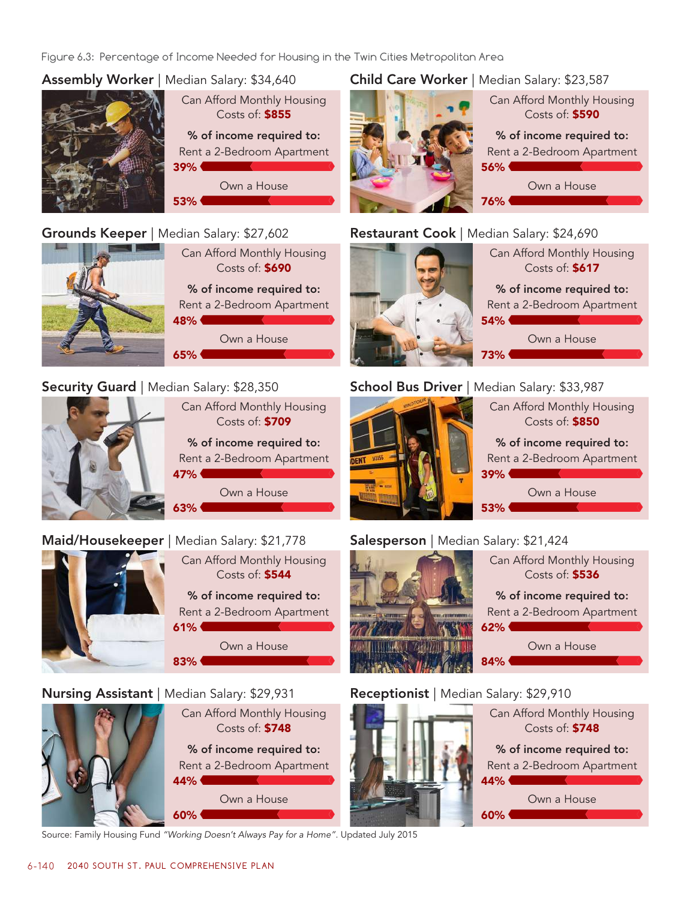Figure 6.3: Percentage of Income Needed for Housing in the Twin Cities Metropolitan Area

## Assembly Worker | Median Salary: \$34,640

Grounds Keeper | Median Salary: \$27,602



Can Afford Monthly Housing Costs of: \$855 % of income required to:

Rent a 2-Bedroom Apartment

Own a House

## Child Care Worker | Median Salary: \$23,587



## Restaurant Cook | Median Salary: \$24,690



## Security Guard | Median Salary: \$28,350



Can Afford Monthly Housing Costs of: \$709 % of income required to: Rent a 2-Bedroom Apartment 47% Own a House  $63%$ 

# Maid/Housekeeper | Median Salary: \$21,778



Can Afford Monthly Housing Costs of: \$544 % of income required to: Rent a 2-Bedroom Apartment

Own a House

## Nursing Assistant | Median Salary: \$29,931



Can Afford Monthly Housing Costs of: \$748 % of income required to: Rent a 2-Bedroom Apartment 44% Own a House 60% **60%** 

Source: Family Housing Fund *"Working Doesn't Always Pay for a Home".* Updated July 2015



Can Afford Monthly Housing Costs of: \$617 % of income required to: Rent a 2-Bedroom Apartment  $54%$ Own a House 73%

# School Bus Driver | Median Salary: \$33,987



# Salesperson | Median Salary: \$21,424



## Receptionist | Median Salary: \$29,910

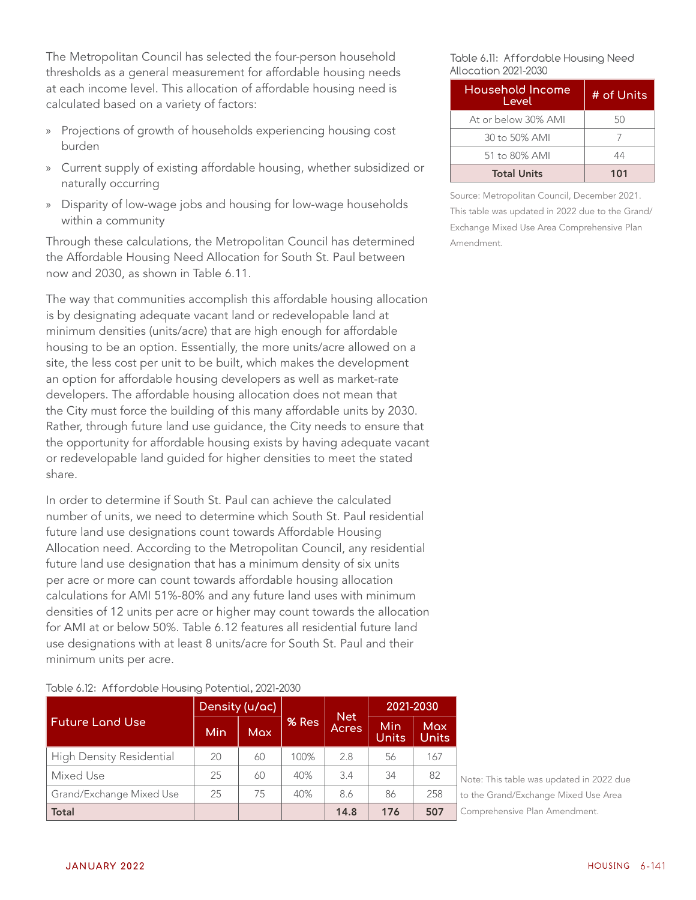The Metropolitan Council has selected the four-person household thresholds as a general measurement for affordable housing needs at each income level. This allocation of affordable housing need is calculated based on a variety of factors:

- Projections of growth of households experiencing housing cost burden
- » Current supply of existing affordable housing, whether subsidized or naturally occurring
- » Disparity of low-wage jobs and housing for low-wage households within a community

Through these calculations, the Metropolitan Council has determined the Affordable Housing Need Allocation for South St. Paul between now and 2030, as shown in Table 6.11.

The way that communities accomplish this affordable housing allocation is by designating adequate vacant land or redevelopable land at minimum densities (units/acre) that are high enough for affordable housing to be an option. Essentially, the more units/acre allowed on a site, the less cost per unit to be built, which makes the development an option for affordable housing developers as well as market-rate developers. The affordable housing allocation does not mean that the City must force the building of this many affordable units by 2030. Rather, through future land use guidance, the City needs to ensure that the opportunity for affordable housing exists by having adequate vacant or redevelopable land guided for higher densities to meet the stated share.

In order to determine if South St. Paul can achieve the calculated number of units, we need to determine which South St. Paul residential future land use designations count towards Affordable Housing Allocation need. According to the Metropolitan Council, any residential future land use designation that has a minimum density of six units per acre or more can count towards affordable housing allocation calculations for AMI 51%-80% and any future land uses with minimum densities of 12 units per acre or higher may count towards the allocation for AMI at or below 50%. Table 6.12 features all residential future land use designations with at least 8 units/acre for South St. Paul and their minimum units per acre.

#### Table 6.12: Affordable Housing Potential, 2021-2030

|                                 | Density (u/ac) |            |       |                     | 2021-2030           |                     |
|---------------------------------|----------------|------------|-------|---------------------|---------------------|---------------------|
| <b>Future Land Use</b>          | <b>Min</b>     | <b>Max</b> | % Res | <b>Net</b><br>Acres | Min<br><b>Units</b> | <b>Max</b><br>Units |
| <b>High Density Residential</b> | 20             | 60         | 100%  | 2.8                 | 56                  | 167                 |
| Mixed Use                       | 25             | 60         | 40%   | 3.4                 | 34                  | 82                  |
| Grand/Exchange Mixed Use        | 25             | 75         | 40%   | 8.6                 | 86                  | 258                 |
| <b>Total</b>                    |                |            |       | 14.8                | 176                 | 507                 |

Table 6.11: Affordable Housing Need Allocation 2021-2030

| Household Income<br>Level | # of Units |
|---------------------------|------------|
| At or below 30% AMI       | 50         |
| 30 to 50% AMI             |            |
| 51 to 80% AMI             | 44         |
| <b>Total Units</b>        | 101        |

Source: Metropolitan Council, December 2021. This table was updated in 2022 due to the Grand/ Exchange Mixed Use Area Comprehensive Plan Amendment.

Note: This table was updated in 2022 due to the Grand/Exchange Mixed Use Area Comprehensive Plan Amendment.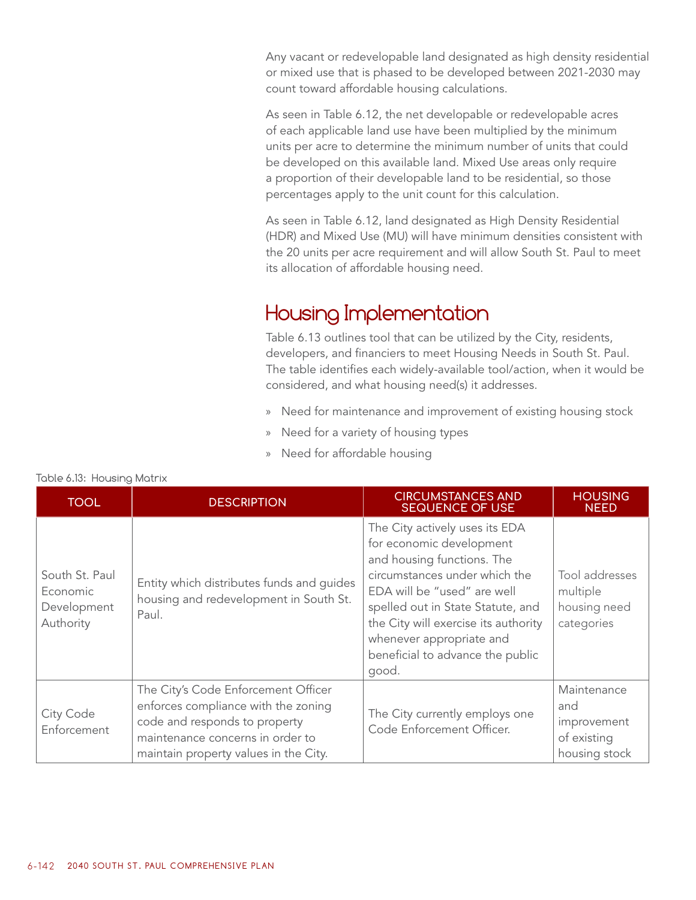Any vacant or redevelopable land designated as high density residential or mixed use that is phased to be developed between 2021-2030 may count toward affordable housing calculations.

As seen in Table 6.12, the net developable or redevelopable acres of each applicable land use have been multiplied by the minimum units per acre to determine the minimum number of units that could be developed on this available land. Mixed Use areas only require a proportion of their developable land to be residential, so those percentages apply to the unit count for this calculation.

As seen in Table 6.12, land designated as High Density Residential (HDR) and Mixed Use (MU) will have minimum densities consistent with the 20 units per acre requirement and will allow South St. Paul to meet its allocation of affordable housing need.

# Housing Implementation

Table 6.13 outlines tool that can be utilized by the City, residents, developers, and financiers to meet Housing Needs in South St. Paul. The table identifies each widely-available tool/action, when it would be considered, and what housing need(s) it addresses.

- » Need for maintenance and improvement of existing housing stock
- » Need for a variety of housing types
- » Need for affordable housing

| <b>TOOL</b>                                                                                                                                            | <b>DESCRIPTION</b>                                                                                                                                                                       | <b>CIRCUMSTANCES AND</b><br><b>SEQUENCE OF USE</b>                                                                                                                                                                                                                                                             | <b>HOUSING</b><br><b>NEED</b>                                     |
|--------------------------------------------------------------------------------------------------------------------------------------------------------|------------------------------------------------------------------------------------------------------------------------------------------------------------------------------------------|----------------------------------------------------------------------------------------------------------------------------------------------------------------------------------------------------------------------------------------------------------------------------------------------------------------|-------------------------------------------------------------------|
| South St. Paul<br>Entity which distributes funds and guides<br>Economic<br>housing and redevelopment in South St.<br>Development<br>Paul.<br>Authority |                                                                                                                                                                                          | The City actively uses its EDA<br>for economic development<br>and housing functions. The<br>circumstances under which the<br>EDA will be "used" are well<br>spelled out in State Statute, and<br>the City will exercise its authority<br>whenever appropriate and<br>beneficial to advance the public<br>good. | Tool addresses<br>multiple<br>housing need<br>categories          |
| City Code<br>Enforcement                                                                                                                               | The City's Code Enforcement Officer<br>enforces compliance with the zoning<br>code and responds to property<br>maintenance concerns in order to<br>maintain property values in the City. | The City currently employs one<br>Code Enforcement Officer.                                                                                                                                                                                                                                                    | Maintenance<br>and<br>improvement<br>of existing<br>housing stock |

#### Table 6.13: Housing Matrix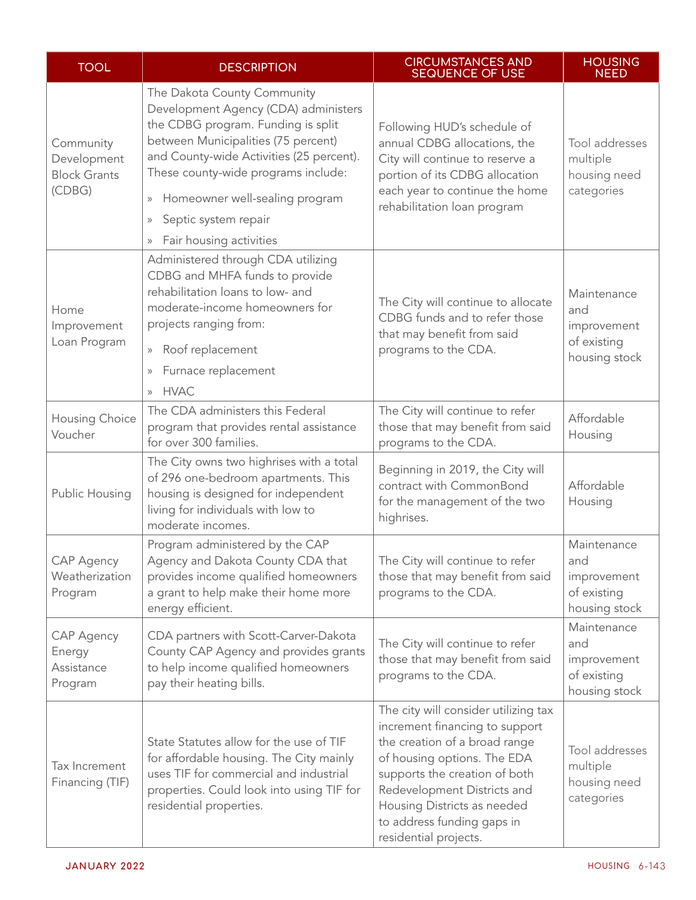| <b>TOOL</b>                                               | <b>DESCRIPTION</b>                                                                                                                                                                                                                                                                                                                                                                       | <b>CIRCUMSTANCES AND</b><br><b>SEQUENCE OF USE</b>                                                                                                                                                                                                                                           | <b>HOUSING</b><br><b>NEED</b>                                     |
|-----------------------------------------------------------|------------------------------------------------------------------------------------------------------------------------------------------------------------------------------------------------------------------------------------------------------------------------------------------------------------------------------------------------------------------------------------------|----------------------------------------------------------------------------------------------------------------------------------------------------------------------------------------------------------------------------------------------------------------------------------------------|-------------------------------------------------------------------|
| Community<br>Development<br><b>Block Grants</b><br>(CDBG) | The Dakota County Community<br>Development Agency (CDA) administers<br>the CDBG program. Funding is split<br>between Municipalities (75 percent)<br>and County-wide Activities (25 percent).<br>These county-wide programs include:<br>Homeowner well-sealing program<br>$\rangle\!\rangle$<br>Septic system repair<br>$\rangle\!\rangle$<br>Fair housing activities<br>$\rangle\rangle$ | Following HUD's schedule of<br>annual CDBG allocations, the<br>City will continue to reserve a<br>portion of its CDBG allocation<br>each year to continue the home<br>rehabilitation loan program                                                                                            | Tool addresses<br>multiple<br>housing need<br>categories          |
| Home<br>Improvement<br>Loan Program                       | Administered through CDA utilizing<br>CDBG and MHFA funds to provide<br>rehabilitation loans to low- and<br>moderate-income homeowners for<br>projects ranging from:<br>Roof replacement<br>$\rangle\rangle$<br>Furnace replacement<br>$\rangle\!\rangle$<br><b>HVAC</b><br>$\mathcal{V}$                                                                                                | The City will continue to allocate<br>CDBG funds and to refer those<br>that may benefit from said<br>programs to the CDA.                                                                                                                                                                    | Maintenance<br>and<br>improvement<br>of existing<br>housing stock |
| Housing Choice<br>Voucher                                 | The CDA administers this Federal<br>program that provides rental assistance<br>for over 300 families.                                                                                                                                                                                                                                                                                    | The City will continue to refer<br>those that may benefit from said<br>programs to the CDA.                                                                                                                                                                                                  | Affordable<br>Housing                                             |
| Public Housing                                            | The City owns two highrises with a total<br>of 296 one-bedroom apartments. This<br>housing is designed for independent<br>living for individuals with low to<br>moderate incomes.                                                                                                                                                                                                        | Beginning in 2019, the City will<br>contract with CommonBond<br>for the management of the two<br>highrises.                                                                                                                                                                                  | Affordable<br>Housing                                             |
| <b>CAP Agency</b><br>Weatherization<br>Program            | Program administered by the CAP<br>Agency and Dakota County CDA that<br>provides income qualified homeowners<br>a grant to help make their home more<br>energy efficient.                                                                                                                                                                                                                | The City will continue to refer<br>those that may benefit from said<br>programs to the CDA.                                                                                                                                                                                                  | Maintenance<br>and<br>improvement<br>of existing<br>housing stock |
| <b>CAP Agency</b><br>Energy<br>Assistance<br>Program      | CDA partners with Scott-Carver-Dakota<br>County CAP Agency and provides grants<br>to help income qualified homeowners<br>pay their heating bills.                                                                                                                                                                                                                                        | The City will continue to refer<br>those that may benefit from said<br>programs to the CDA.                                                                                                                                                                                                  | Maintenance<br>and<br>improvement<br>of existing<br>housing stock |
| Tax Increment<br>Financing (TIF)                          | State Statutes allow for the use of TIF<br>for affordable housing. The City mainly<br>uses TIF for commercial and industrial<br>properties. Could look into using TIF for<br>residential properties.                                                                                                                                                                                     | The city will consider utilizing tax<br>increment financing to support<br>the creation of a broad range<br>of housing options. The EDA<br>supports the creation of both<br>Redevelopment Districts and<br>Housing Districts as needed<br>to address funding gaps in<br>residential projects. | Tool addresses<br>multiple<br>housing need<br>categories          |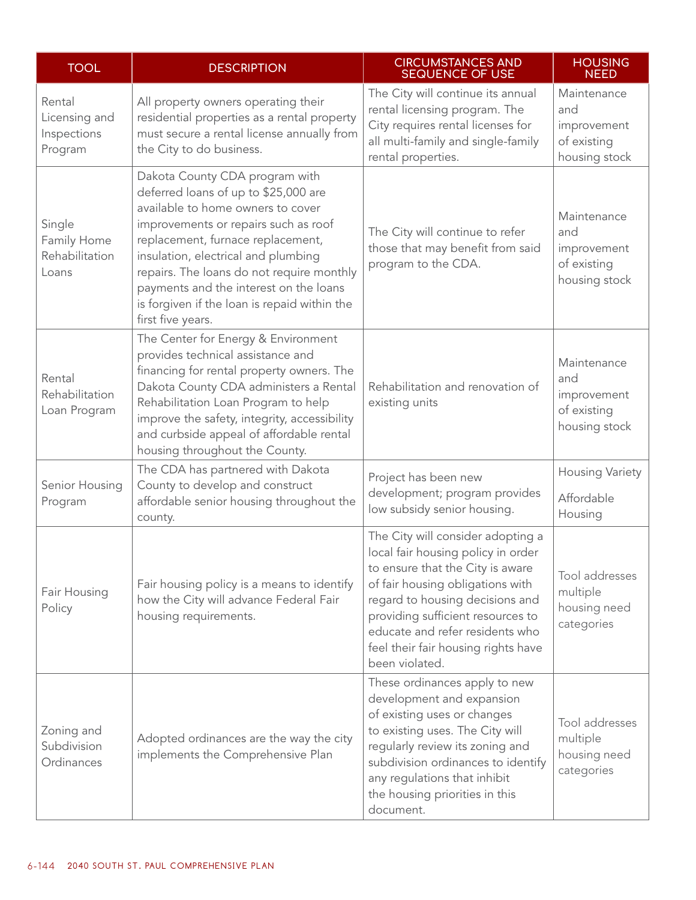| <b>TOOL</b>                                       | <b>DESCRIPTION</b>                                                                                                                                                                                                                                                                                                                                                                          | <b>CIRCUMSTANCES AND</b><br><b>SEQUENCE OF USE</b>                                                                                                                                                                                                                                                                  | <b>HOUSING</b><br><b>NEED</b>                                     |
|---------------------------------------------------|---------------------------------------------------------------------------------------------------------------------------------------------------------------------------------------------------------------------------------------------------------------------------------------------------------------------------------------------------------------------------------------------|---------------------------------------------------------------------------------------------------------------------------------------------------------------------------------------------------------------------------------------------------------------------------------------------------------------------|-------------------------------------------------------------------|
| Rental<br>Licensing and<br>Inspections<br>Program | All property owners operating their<br>residential properties as a rental property<br>must secure a rental license annually from<br>the City to do business.                                                                                                                                                                                                                                | The City will continue its annual<br>rental licensing program. The<br>City requires rental licenses for<br>all multi-family and single-family<br>rental properties.                                                                                                                                                 | Maintenance<br>and<br>improvement<br>of existing<br>housing stock |
| Single<br>Family Home<br>Rehabilitation<br>Loans  | Dakota County CDA program with<br>deferred loans of up to \$25,000 are<br>available to home owners to cover<br>improvements or repairs such as roof<br>replacement, furnace replacement,<br>insulation, electrical and plumbing<br>repairs. The loans do not require monthly<br>payments and the interest on the loans<br>is forgiven if the loan is repaid within the<br>first five years. | The City will continue to refer<br>those that may benefit from said<br>program to the CDA.                                                                                                                                                                                                                          | Maintenance<br>and<br>improvement<br>of existing<br>housing stock |
| Rental<br>Rehabilitation<br>Loan Program          | The Center for Energy & Environment<br>provides technical assistance and<br>financing for rental property owners. The<br>Dakota County CDA administers a Rental<br>Rehabilitation Loan Program to help<br>improve the safety, integrity, accessibility<br>and curbside appeal of affordable rental<br>housing throughout the County.                                                        | Rehabilitation and renovation of<br>existing units                                                                                                                                                                                                                                                                  | Maintenance<br>and<br>improvement<br>of existing<br>housing stock |
| Senior Housing<br>Program                         | The CDA has partnered with Dakota<br>County to develop and construct<br>affordable senior housing throughout the<br>county.                                                                                                                                                                                                                                                                 | Project has been new<br>development; program provides<br>low subsidy senior housing.                                                                                                                                                                                                                                | Housing Variety<br>Affordable<br>Housing                          |
| Fair Housing<br>Policy                            | Fair housing policy is a means to identify<br>how the City will advance Federal Fair<br>housing requirements.                                                                                                                                                                                                                                                                               | The City will consider adopting a<br>local fair housing policy in order<br>to ensure that the City is aware<br>of fair housing obligations with<br>regard to housing decisions and<br>providing sufficient resources to<br>educate and refer residents who<br>feel their fair housing rights have<br>been violated. | Tool addresses<br>multiple<br>housing need<br>categories          |
| Zoning and<br>Subdivision<br>Ordinances           | These ordinances apply to new<br>development and expansion<br>of existing uses or changes<br>to existing uses. The City will<br>Adopted ordinances are the way the city<br>regularly review its zoning and<br>implements the Comprehensive Plan<br>subdivision ordinances to identify<br>any regulations that inhibit<br>the housing priorities in this<br>document.                        |                                                                                                                                                                                                                                                                                                                     | Tool addresses<br>multiple<br>housing need<br>categories          |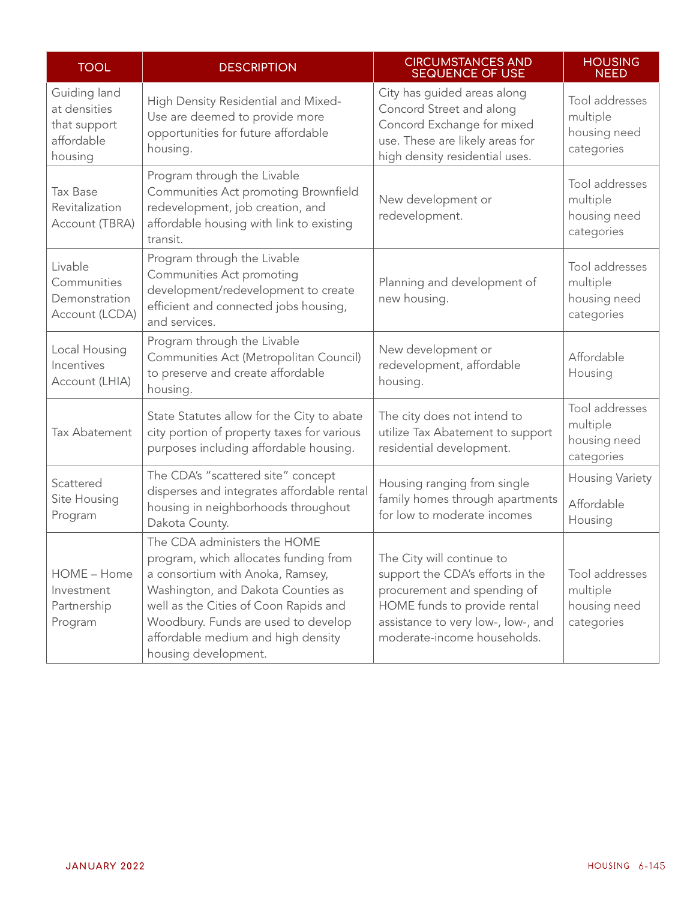| <b>TOOL</b>                                                           | <b>DESCRIPTION</b>                                                                                                                                                                                                                                                                            | <b>CIRCUMSTANCES AND</b><br><b>SEQUENCE OF USE</b>                                                                                                                                                | <b>HOUSING</b><br><b>NEED</b>                            |
|-----------------------------------------------------------------------|-----------------------------------------------------------------------------------------------------------------------------------------------------------------------------------------------------------------------------------------------------------------------------------------------|---------------------------------------------------------------------------------------------------------------------------------------------------------------------------------------------------|----------------------------------------------------------|
| Guiding land<br>at densities<br>that support<br>affordable<br>housing | High Density Residential and Mixed-<br>Use are deemed to provide more<br>opportunities for future affordable<br>housing.                                                                                                                                                                      | City has guided areas along<br>Concord Street and along<br>Concord Exchange for mixed<br>use. These are likely areas for<br>high density residential uses.                                        | Tool addresses<br>multiple<br>housing need<br>categories |
| <b>Tax Base</b><br>Revitalization<br>Account (TBRA)                   | Program through the Livable<br>Communities Act promoting Brownfield<br>redevelopment, job creation, and<br>affordable housing with link to existing<br>transit.                                                                                                                               | New development or<br>redevelopment.                                                                                                                                                              | Tool addresses<br>multiple<br>housing need<br>categories |
| Livable<br>Communities<br>Demonstration<br>Account (LCDA)             | Program through the Livable<br>Communities Act promoting<br>development/redevelopment to create<br>efficient and connected jobs housing,<br>and services.                                                                                                                                     | Planning and development of<br>new housing.                                                                                                                                                       | Tool addresses<br>multiple<br>housing need<br>categories |
| Local Housing<br>Incentives<br>Account (LHIA)                         | Program through the Livable<br>Communities Act (Metropolitan Council)<br>to preserve and create affordable<br>housing.                                                                                                                                                                        | New development or<br>redevelopment, affordable<br>housing.                                                                                                                                       | Affordable<br>Housing                                    |
| Tax Abatement                                                         | State Statutes allow for the City to abate<br>city portion of property taxes for various<br>purposes including affordable housing.                                                                                                                                                            | The city does not intend to<br>utilize Tax Abatement to support<br>residential development.                                                                                                       | Tool addresses<br>multiple<br>housing need<br>categories |
| Scattered<br>Site Housing<br>Program                                  | The CDA's "scattered site" concept<br>disperses and integrates affordable rental<br>housing in neighborhoods throughout<br>Dakota County.                                                                                                                                                     | Housing ranging from single<br>family homes through apartments<br>for low to moderate incomes                                                                                                     | <b>Housing Variety</b><br>Affordable<br>Housing          |
| HOME - Home<br>Investment<br>Partnership<br>Program                   | The CDA administers the HOME<br>program, which allocates funding from<br>a consortium with Anoka, Ramsey,<br>Washington, and Dakota Counties as<br>well as the Cities of Coon Rapids and<br>Woodbury. Funds are used to develop<br>affordable medium and high density<br>housing development. | The City will continue to<br>support the CDA's efforts in the<br>procurement and spending of<br>HOME funds to provide rental<br>assistance to very low-, low-, and<br>moderate-income households. | Tool addresses<br>multiple<br>housing need<br>categories |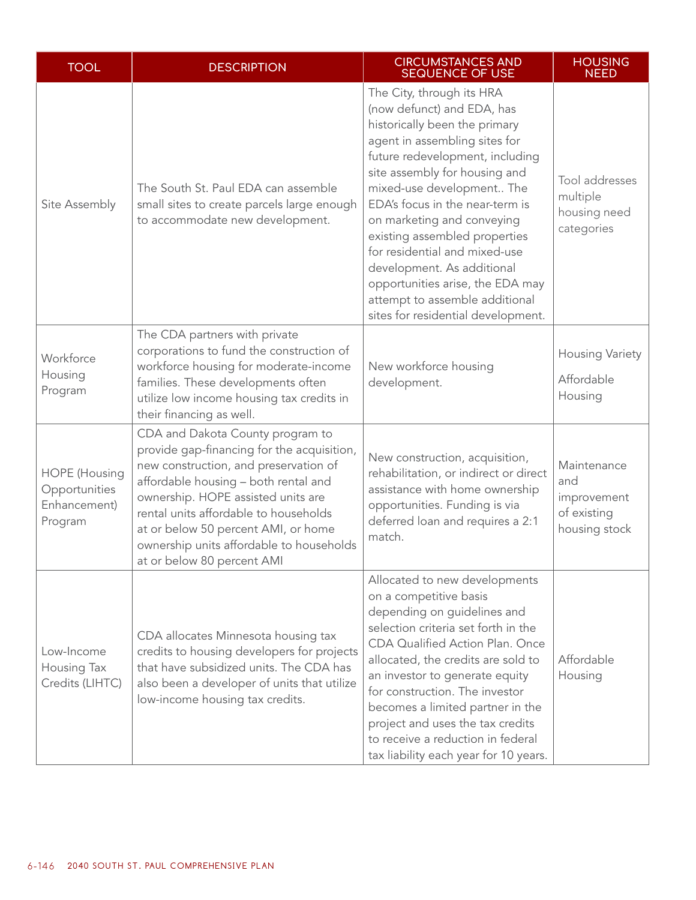| <b>TOOL</b>                                                      | <b>DESCRIPTION</b>                                                                                                                                                                                                                                                                                                                                              | <b>CIRCUMSTANCES AND</b><br><b>SEQUENCE OF USE</b>                                                                                                                                                                                                                                                                                                                                                                                                                                                      | <b>HOUSING</b><br><b>NEED</b>                                     |
|------------------------------------------------------------------|-----------------------------------------------------------------------------------------------------------------------------------------------------------------------------------------------------------------------------------------------------------------------------------------------------------------------------------------------------------------|---------------------------------------------------------------------------------------------------------------------------------------------------------------------------------------------------------------------------------------------------------------------------------------------------------------------------------------------------------------------------------------------------------------------------------------------------------------------------------------------------------|-------------------------------------------------------------------|
| Site Assembly                                                    | The South St. Paul EDA can assemble<br>small sites to create parcels large enough<br>to accommodate new development.                                                                                                                                                                                                                                            | The City, through its HRA<br>(now defunct) and EDA, has<br>historically been the primary<br>agent in assembling sites for<br>future redevelopment, including<br>site assembly for housing and<br>mixed-use development The<br>EDA's focus in the near-term is<br>on marketing and conveying<br>existing assembled properties<br>for residential and mixed-use<br>development. As additional<br>opportunities arise, the EDA may<br>attempt to assemble additional<br>sites for residential development. | Tool addresses<br>multiple<br>housing need<br>categories          |
| Workforce<br>Housing<br>Program                                  | The CDA partners with private<br>corporations to fund the construction of<br>workforce housing for moderate-income<br>families. These developments often<br>utilize low income housing tax credits in<br>their financing as well.                                                                                                                               | New workforce housing<br>development.                                                                                                                                                                                                                                                                                                                                                                                                                                                                   | <b>Housing Variety</b><br>Affordable<br>Housing                   |
| <b>HOPE</b> (Housing<br>Opportunities<br>Enhancement)<br>Program | CDA and Dakota County program to<br>provide gap-financing for the acquisition,<br>new construction, and preservation of<br>affordable housing - both rental and<br>ownership. HOPE assisted units are<br>rental units affordable to households<br>at or below 50 percent AMI, or home<br>ownership units affordable to households<br>at or below 80 percent AMI | New construction, acquisition,<br>rehabilitation, or indirect or direct<br>assistance with home ownership<br>opportunities. Funding is via<br>deferred loan and requires a 2:1<br>match.                                                                                                                                                                                                                                                                                                                | Maintenance<br>and<br>improvement<br>of existing<br>housing stock |
| Low-Income<br>Housing Tax<br>Credits (LIHTC)                     | CDA allocates Minnesota housing tax<br>credits to housing developers for projects<br>that have subsidized units. The CDA has<br>also been a developer of units that utilize<br>low-income housing tax credits.                                                                                                                                                  | Allocated to new developments<br>on a competitive basis<br>depending on guidelines and<br>selection criteria set forth in the<br>CDA Qualified Action Plan. Once<br>allocated, the credits are sold to<br>an investor to generate equity<br>for construction. The investor<br>becomes a limited partner in the<br>project and uses the tax credits<br>to receive a reduction in federal<br>tax liability each year for 10 years.                                                                        | Affordable<br>Housing                                             |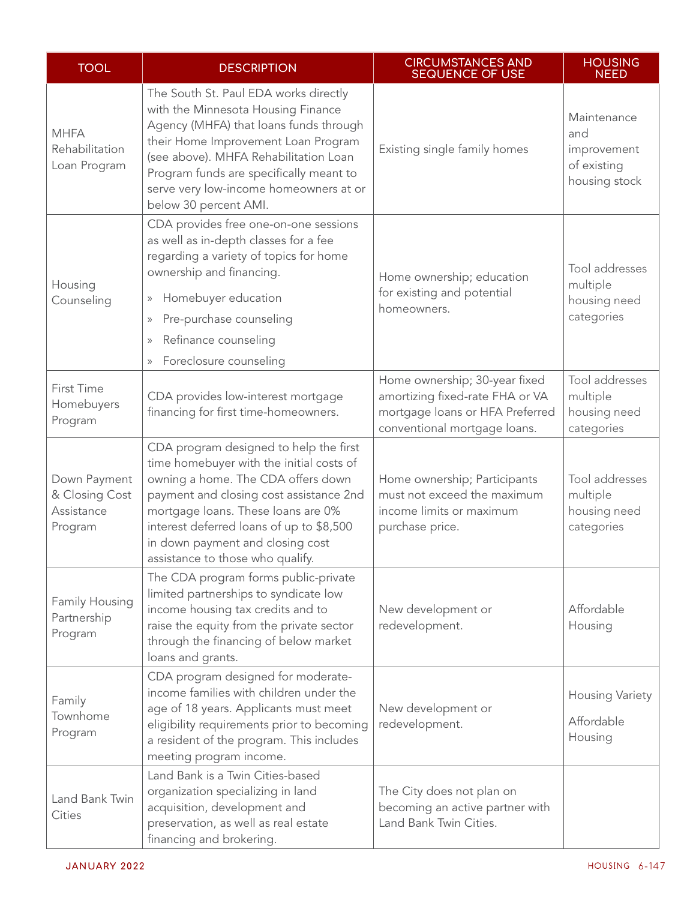| <b>TOOL</b>                                             | <b>DESCRIPTION</b>                                                                                                                                                                                                                                                                                                                               | <b>CIRCUMSTANCES AND</b><br><b>SEQUENCE OF USE</b>                                                                                  | <b>HOUSING</b><br><b>NEED</b>                                     |
|---------------------------------------------------------|--------------------------------------------------------------------------------------------------------------------------------------------------------------------------------------------------------------------------------------------------------------------------------------------------------------------------------------------------|-------------------------------------------------------------------------------------------------------------------------------------|-------------------------------------------------------------------|
| <b>MHFA</b><br>Rehabilitation<br>Loan Program           | The South St. Paul EDA works directly<br>with the Minnesota Housing Finance<br>Agency (MHFA) that loans funds through<br>their Home Improvement Loan Program<br>(see above). MHFA Rehabilitation Loan<br>Program funds are specifically meant to<br>serve very low-income homeowners at or<br>below 30 percent AMI.                              | Existing single family homes                                                                                                        | Maintenance<br>and<br>improvement<br>of existing<br>housing stock |
| Housing<br>Counseling                                   | CDA provides free one-on-one sessions<br>as well as in-depth classes for a fee<br>regarding a variety of topics for home<br>ownership and financing.<br>Homebuyer education<br>$\rangle\!\rangle$<br>Pre-purchase counseling<br>$\rangle\!\rangle$<br>Refinance counseling<br>$\rangle\!\rangle$<br>Foreclosure counseling<br>$\rangle\!\rangle$ | Home ownership; education<br>for existing and potential<br>homeowners.                                                              | Tool addresses<br>multiple<br>housing need<br>categories          |
| First Time<br>Homebuyers<br>Program                     | CDA provides low-interest mortgage<br>financing for first time-homeowners.                                                                                                                                                                                                                                                                       | Home ownership; 30-year fixed<br>amortizing fixed-rate FHA or VA<br>mortgage loans or HFA Preferred<br>conventional mortgage loans. | Tool addresses<br>multiple<br>housing need<br>categories          |
| Down Payment<br>& Closing Cost<br>Assistance<br>Program | CDA program designed to help the first<br>time homebuyer with the initial costs of<br>owning a home. The CDA offers down<br>payment and closing cost assistance 2nd<br>mortgage loans. These loans are 0%<br>interest deferred loans of up to \$8,500<br>in down payment and closing cost<br>assistance to those who qualify.                    | Home ownership; Participants<br>must not exceed the maximum<br>income limits or maximum<br>purchase price.                          | Tool addresses<br>multiple<br>housing need<br>categories          |
| Family Housing<br>Partnership<br>Program                | The CDA program forms public-private<br>limited partnerships to syndicate low<br>income housing tax credits and to<br>raise the equity from the private sector<br>through the financing of below market<br>loans and grants.                                                                                                                     | New development or<br>redevelopment.                                                                                                | Affordable<br>Housing                                             |
| Family<br>Townhome<br>Program                           | CDA program designed for moderate-<br>income families with children under the<br>age of 18 years. Applicants must meet<br>eligibility requirements prior to becoming<br>a resident of the program. This includes<br>meeting program income.                                                                                                      | New development or<br>redevelopment.                                                                                                | <b>Housing Variety</b><br>Affordable<br>Housing                   |
| Land Bank Twin<br>Cities                                | Land Bank is a Twin Cities-based<br>organization specializing in land<br>acquisition, development and<br>preservation, as well as real estate<br>financing and brokering.                                                                                                                                                                        | The City does not plan on<br>becoming an active partner with<br>Land Bank Twin Cities.                                              |                                                                   |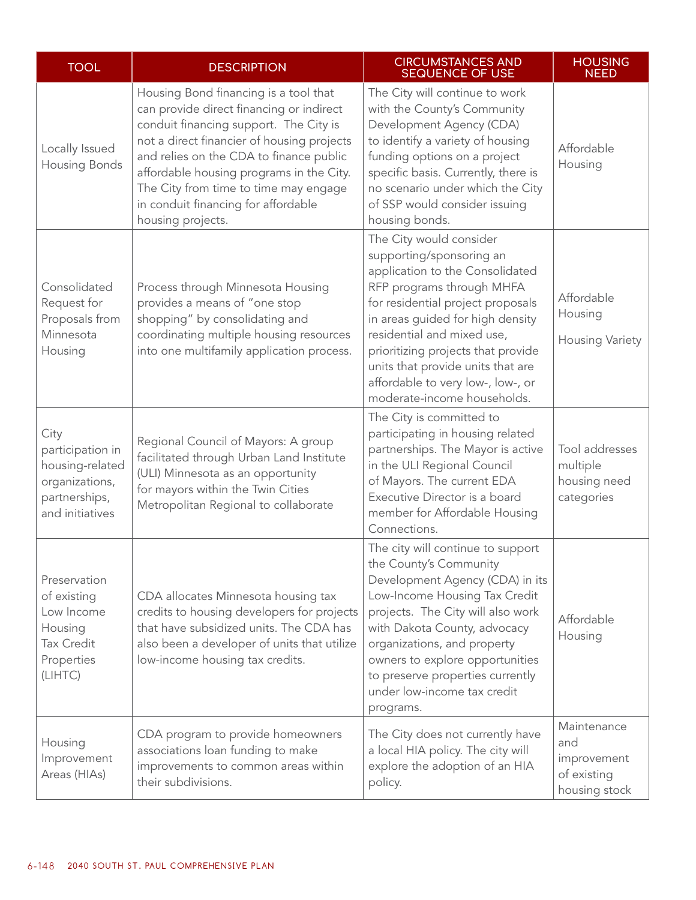| <b>TOOL</b>                                                                                        | <b>DESCRIPTION</b>                                                                                                                                                                                                                                                                                                                                                    | <b>CIRCUMSTANCES AND</b><br><b>SEQUENCE OF USE</b>                                                                                                                                                                                                                                                                                                                              |                                                                   |  |
|----------------------------------------------------------------------------------------------------|-----------------------------------------------------------------------------------------------------------------------------------------------------------------------------------------------------------------------------------------------------------------------------------------------------------------------------------------------------------------------|---------------------------------------------------------------------------------------------------------------------------------------------------------------------------------------------------------------------------------------------------------------------------------------------------------------------------------------------------------------------------------|-------------------------------------------------------------------|--|
| Locally Issued<br>Housing Bonds                                                                    | Housing Bond financing is a tool that<br>can provide direct financing or indirect<br>conduit financing support. The City is<br>not a direct financier of housing projects<br>and relies on the CDA to finance public<br>affordable housing programs in the City.<br>The City from time to time may engage<br>in conduit financing for affordable<br>housing projects. | The City will continue to work<br>with the County's Community<br>Development Agency (CDA)<br>to identify a variety of housing<br>funding options on a project<br>specific basis. Currently, there is<br>no scenario under which the City<br>of SSP would consider issuing<br>housing bonds.                                                                                     | Affordable<br>Housing                                             |  |
| Consolidated<br>Request for<br>Proposals from<br>Minnesota<br>Housing                              | Process through Minnesota Housing<br>provides a means of "one stop<br>shopping" by consolidating and<br>coordinating multiple housing resources<br>into one multifamily application process.                                                                                                                                                                          | The City would consider<br>supporting/sponsoring an<br>application to the Consolidated<br>RFP programs through MHFA<br>for residential project proposals<br>in areas guided for high density<br>residential and mixed use,<br>prioritizing projects that provide<br>units that provide units that are<br>affordable to very low-, low-, or<br>moderate-income households.       | Affordable<br>Housing<br><b>Housing Variety</b>                   |  |
| City<br>participation in<br>housing-related<br>organizations,<br>partnerships,<br>and initiatives  | Regional Council of Mayors: A group<br>facilitated through Urban Land Institute<br>(ULI) Minnesota as an opportunity<br>for mayors within the Twin Cities<br>Metropolitan Regional to collaborate                                                                                                                                                                     | The City is committed to<br>participating in housing related<br>partnerships. The Mayor is active<br>in the ULI Regional Council<br>of Mayors. The current EDA<br>Executive Director is a board<br>member for Affordable Housing<br>Connections.                                                                                                                                | Tool addresses<br>multiple<br>housing need<br>categories          |  |
| Preservation<br>of existing<br>Low Income<br>Housing<br><b>Tax Credit</b><br>Properties<br>(LIHTC) | CDA allocates Minnesota housing tax<br>credits to housing developers for projects<br>that have subsidized units. The CDA has<br>also been a developer of units that utilize<br>low-income housing tax credits.                                                                                                                                                        | The city will continue to support<br>the County's Community<br>Development Agency (CDA) in its<br>Low-Income Housing Tax Credit<br>projects. The City will also work<br>Affordable<br>with Dakota County, advocacy<br>Housing<br>organizations, and property<br>owners to explore opportunities<br>to preserve properties currently<br>under low-income tax credit<br>programs. |                                                                   |  |
| Housing<br>Improvement<br>Areas (HIAs)                                                             | CDA program to provide homeowners<br>associations loan funding to make<br>improvements to common areas within<br>their subdivisions.                                                                                                                                                                                                                                  | The City does not currently have<br>a local HIA policy. The city will<br>explore the adoption of an HIA<br>policy.                                                                                                                                                                                                                                                              | Maintenance<br>and<br>improvement<br>of existing<br>housing stock |  |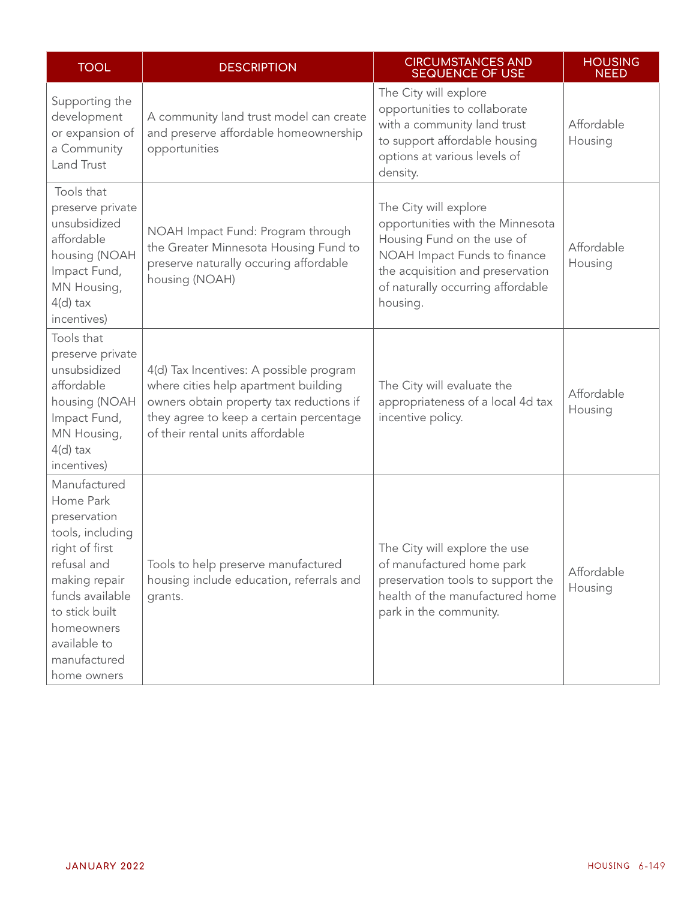| <b>TOOL</b>                                                                                                                                                                                                       | <b>DESCRIPTION</b>                                                                                                                                                                                         | <b>CIRCUMSTANCES AND</b><br><b>SEQUENCE OF USE</b>                                                                                                                                                           | <b>HOUSING</b><br><b>NEED</b> |
|-------------------------------------------------------------------------------------------------------------------------------------------------------------------------------------------------------------------|------------------------------------------------------------------------------------------------------------------------------------------------------------------------------------------------------------|--------------------------------------------------------------------------------------------------------------------------------------------------------------------------------------------------------------|-------------------------------|
| Supporting the<br>development<br>or expansion of<br>a Community<br>Land Trust                                                                                                                                     | A community land trust model can create<br>and preserve affordable homeownership<br>opportunities                                                                                                          | The City will explore<br>opportunities to collaborate<br>with a community land trust<br>to support affordable housing<br>options at various levels of<br>density.                                            | Affordable<br>Housing         |
| Tools that<br>preserve private<br>unsubsidized<br>affordable<br>housing (NOAH<br>Impact Fund,<br>MN Housing,<br>$4(d)$ tax<br>incentives)                                                                         | NOAH Impact Fund: Program through<br>the Greater Minnesota Housing Fund to<br>preserve naturally occuring affordable<br>housing (NOAH)                                                                     | The City will explore<br>opportunities with the Minnesota<br>Housing Fund on the use of<br>NOAH Impact Funds to finance<br>the acquisition and preservation<br>of naturally occurring affordable<br>housing. | Affordable<br>Housing         |
| Tools that<br>preserve private<br>unsubsidized<br>affordable<br>housing (NOAH<br>Impact Fund,<br>MN Housing,<br>$4(d)$ tax<br>incentives)                                                                         | 4(d) Tax Incentives: A possible program<br>where cities help apartment building<br>owners obtain property tax reductions if<br>they agree to keep a certain percentage<br>of their rental units affordable | The City will evaluate the<br>appropriateness of a local 4d tax<br>incentive policy.                                                                                                                         | Affordable<br>Housing         |
| Manufactured<br>Home Park<br>preservation<br>tools, including<br>right of first<br>refusal and<br>making repair<br>funds available<br>to stick built<br>homeowners<br>available to<br>manufactured<br>home owners | Tools to help preserve manufactured<br>housing include education, referrals and<br>grants.                                                                                                                 | The City will explore the use<br>of manufactured home park<br>preservation tools to support the<br>health of the manufactured home<br>park in the community.                                                 | Affordable<br>Housing         |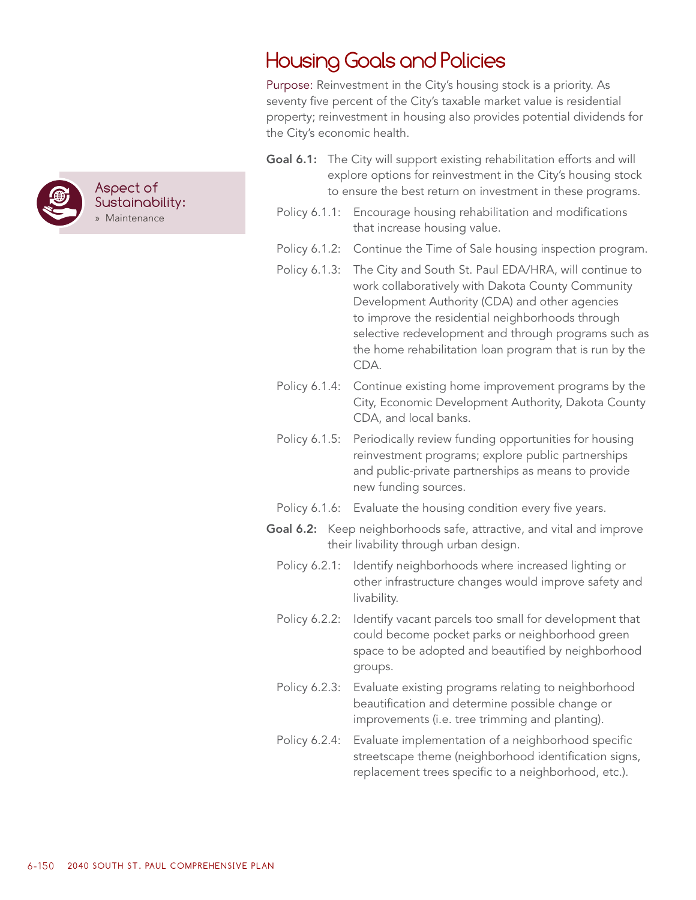

# Housing Goals and Policies

Purpose: Reinvestment in the City's housing stock is a priority. As seventy five percent of the City's taxable market value is residential property; reinvestment in housing also provides potential dividends for the City's economic health.

- Goal 6.1: The City will support existing rehabilitation efforts and will explore options for reinvestment in the City's housing stock to ensure the best return on investment in these programs.
	- Policy 6.1.1: Encourage housing rehabilitation and modifications that increase housing value.
	- Policy 6.1.2: Continue the Time of Sale housing inspection program.
	- Policy 6.1.3: The City and South St. Paul EDA/HRA, will continue to work collaboratively with Dakota County Community Development Authority (CDA) and other agencies to improve the residential neighborhoods through selective redevelopment and through programs such as the home rehabilitation loan program that is run by the CDA.
	- Policy 6.1.4: Continue existing home improvement programs by the City, Economic Development Authority, Dakota County CDA, and local banks.
	- Policy 6.1.5: Periodically review funding opportunities for housing reinvestment programs; explore public partnerships and public-private partnerships as means to provide new funding sources.
	- Policy 6.1.6: Evaluate the housing condition every five years.
- Goal 6.2: Keep neighborhoods safe, attractive, and vital and improve their livability through urban design.
	- Policy 6.2.1: Identify neighborhoods where increased lighting or other infrastructure changes would improve safety and livability.
	- Policy 6.2.2: Identify vacant parcels too small for development that could become pocket parks or neighborhood green space to be adopted and beautified by neighborhood groups.
	- Policy 6.2.3: Evaluate existing programs relating to neighborhood beautification and determine possible change or improvements (i.e. tree trimming and planting).
	- Policy 6.2.4: Evaluate implementation of a neighborhood specific streetscape theme (neighborhood identification signs, replacement trees specific to a neighborhood, etc.).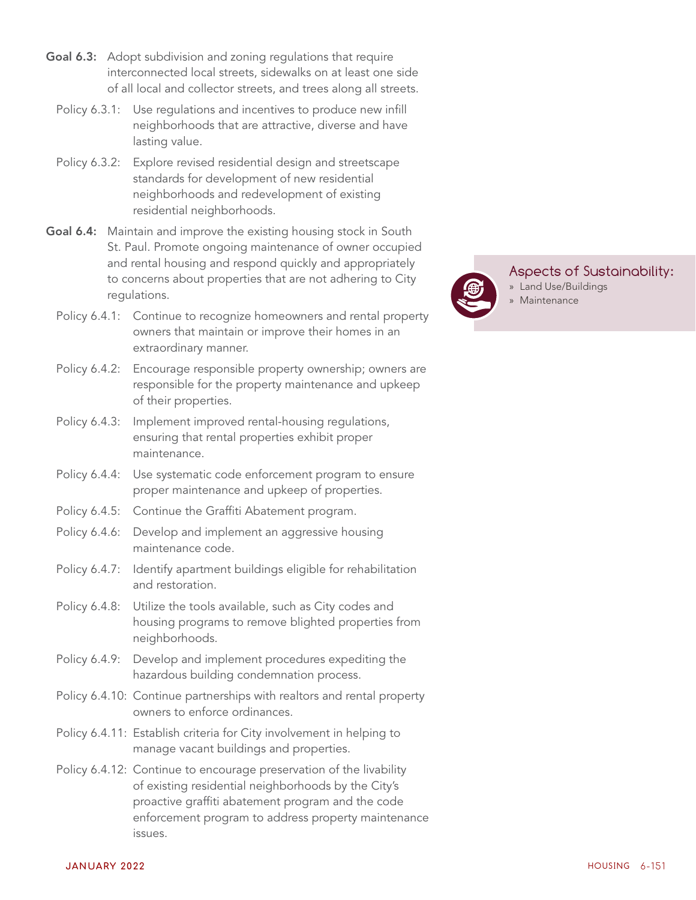- Goal 6.3: Adopt subdivision and zoning regulations that require interconnected local streets, sidewalks on at least one side of all local and collector streets, and trees along all streets.
	- Policy 6.3.1: Use regulations and incentives to produce new infill neighborhoods that are attractive, diverse and have lasting value.
	- Policy 6.3.2: Explore revised residential design and streetscape standards for development of new residential neighborhoods and redevelopment of existing residential neighborhoods.
- Goal 6.4: Maintain and improve the existing housing stock in South St. Paul. Promote ongoing maintenance of owner occupied and rental housing and respond quickly and appropriately to concerns about properties that are not adhering to City regulations.
	- Policy 6.4.1: Continue to recognize homeowners and rental property owners that maintain or improve their homes in an extraordinary manner.
	- Policy 6.4.2: Encourage responsible property ownership; owners are responsible for the property maintenance and upkeep of their properties.
	- Policy 6.4.3: Implement improved rental-housing regulations, ensuring that rental properties exhibit proper maintenance.
	- Policy 6.4.4: Use systematic code enforcement program to ensure proper maintenance and upkeep of properties.
	- Policy 6.4.5: Continue the Graffiti Abatement program.
	- Policy 6.4.6: Develop and implement an aggressive housing maintenance code.
	- Policy 6.4.7: Identify apartment buildings eligible for rehabilitation and restoration.
	- Policy 6.4.8: Utilize the tools available, such as City codes and housing programs to remove blighted properties from neighborhoods.
	- Policy 6.4.9: Develop and implement procedures expediting the hazardous building condemnation process.
	- Policy 6.4.10: Continue partnerships with realtors and rental property owners to enforce ordinances.
	- Policy 6.4.11: Establish criteria for City involvement in helping to manage vacant buildings and properties.
	- Policy 6.4.12: Continue to encourage preservation of the livability of existing residential neighborhoods by the City's proactive graffiti abatement program and the code enforcement program to address property maintenance issues.



### Aspects of Sustainability:

- » Land Use/Buildings
- » Maintenance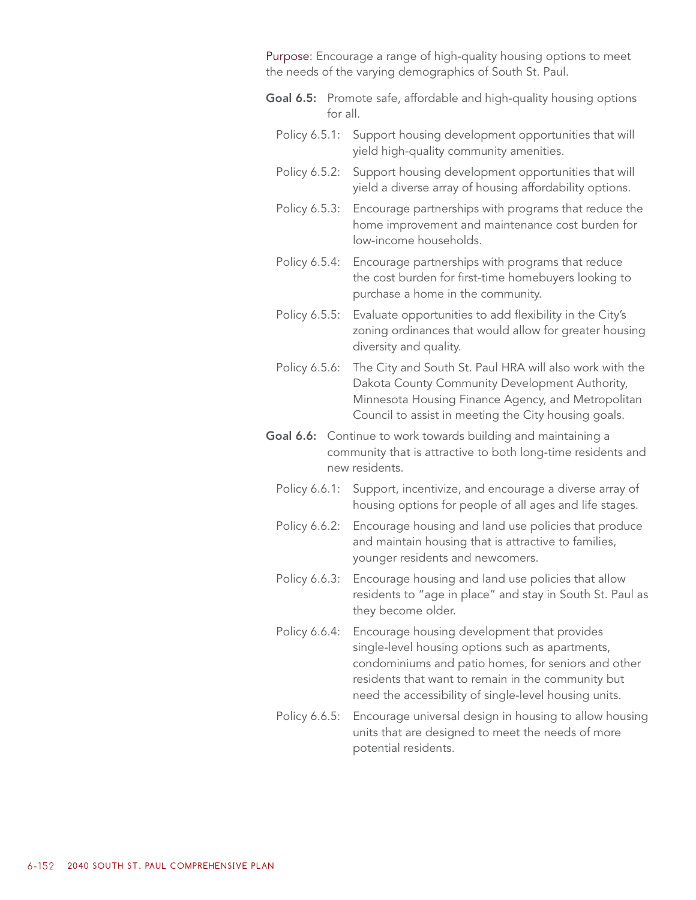Purpose: Encourage a range of high-quality housing options to meet the needs of the varying demographics of South St. Paul.

- **Goal 6.5:** Promote safe, affordable and high-quality housing options for all.
	- Policy 6.5.1: Support housing development opportunities that will yield high-quality community amenities.
	- Policy 6.5.2: Support housing development opportunities that will yield a diverse array of housing affordability options.
	- Policy 6.5.3: Encourage partnerships with programs that reduce the home improvement and maintenance cost burden for low-income households.
	- Policy 6.5.4: Encourage partnerships with programs that reduce the cost burden for first-time homebuyers looking to purchase a home in the community.
	- Policy 6.5.5: Evaluate opportunities to add flexibility in the City's zoning ordinances that would allow for greater housing diversity and quality.
	- Policy 6.5.6: The City and South St. Paul HRA will also work with the Dakota County Community Development Authority, Minnesota Housing Finance Agency, and Metropolitan Council to assist in meeting the City housing goals.
- Goal 6.6: Continue to work towards building and maintaining a community that is attractive to both long-time residents and new residents.
	- Policy 6.6.1: Support, incentivize, and encourage a diverse array of housing options for people of all ages and life stages.
	- Policy 6.6.2: Encourage housing and land use policies that produce and maintain housing that is attractive to families, younger residents and newcomers.
	- Policy 6.6.3: Encourage housing and land use policies that allow residents to "age in place" and stay in South St. Paul as they become older.
	- Policy 6.6.4: Encourage housing development that provides single-level housing options such as apartments, condominiums and patio homes, for seniors and other residents that want to remain in the community but need the accessibility of single-level housing units.
	- Policy 6.6.5: Encourage universal design in housing to allow housing units that are designed to meet the needs of more potential residents.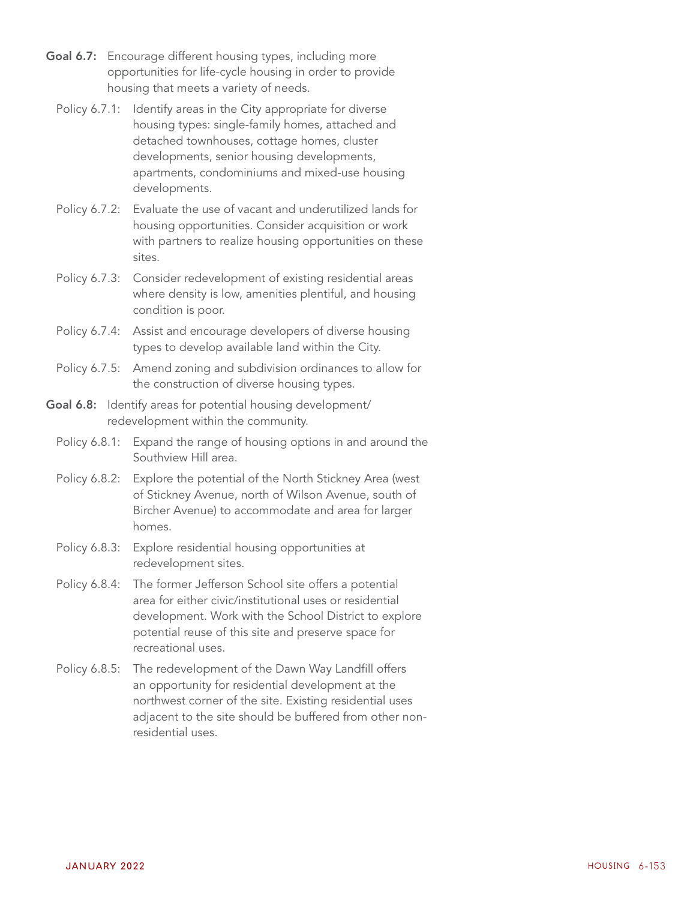- Goal 6.7: Encourage different housing types, including more opportunities for life-cycle housing in order to provide housing that meets a variety of needs.
	- Policy 6.7.1: Identify areas in the City appropriate for diverse housing types: single-family homes, attached and detached townhouses, cottage homes, cluster developments, senior housing developments, apartments, condominiums and mixed-use housing developments.
	- Policy 6.7.2: Evaluate the use of vacant and underutilized lands for housing opportunities. Consider acquisition or work with partners to realize housing opportunities on these sites.
	- Policy 6.7.3: Consider redevelopment of existing residential areas where density is low, amenities plentiful, and housing condition is poor.
	- Policy 6.7.4: Assist and encourage developers of diverse housing types to develop available land within the City.
	- Policy 6.7.5: Amend zoning and subdivision ordinances to allow for the construction of diverse housing types.
- Goal 6.8: Identify areas for potential housing development/ redevelopment within the community.
	- Policy 6.8.1: Expand the range of housing options in and around the Southview Hill area.
	- Policy 6.8.2: Explore the potential of the North Stickney Area (west of Stickney Avenue, north of Wilson Avenue, south of Bircher Avenue) to accommodate and area for larger homes.
	- Policy 6.8.3: Explore residential housing opportunities at redevelopment sites.
	- Policy 6.8.4: The former Jefferson School site offers a potential area for either civic/institutional uses or residential development. Work with the School District to explore potential reuse of this site and preserve space for recreational uses.
	- Policy 6.8.5: The redevelopment of the Dawn Way Landfill offers an opportunity for residential development at the northwest corner of the site. Existing residential uses adjacent to the site should be buffered from other nonresidential uses.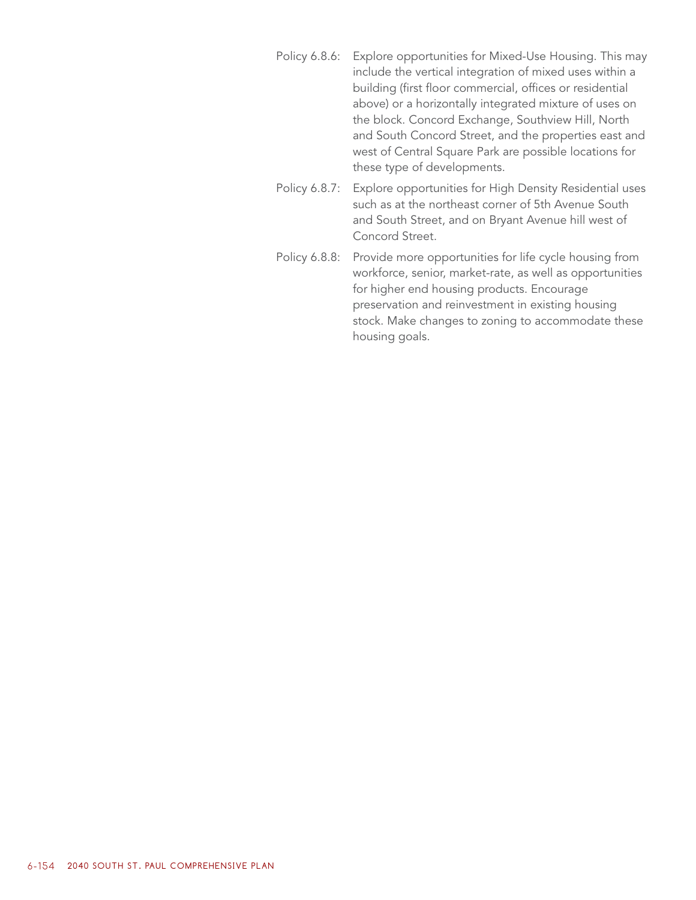- Policy 6.8.6: Explore opportunities for Mixed-Use Housing. This may include the vertical integration of mixed uses within a building (first floor commercial, offices or residential above) or a horizontally integrated mixture of uses on the block. Concord Exchange, Southview Hill, North and South Concord Street, and the properties east and west of Central Square Park are possible locations for these type of developments.
- Policy 6.8.7: Explore opportunities for High Density Residential uses such as at the northeast corner of 5th Avenue South and South Street, and on Bryant Avenue hill west of Concord Street.
- Policy 6.8.8: Provide more opportunities for life cycle housing from workforce, senior, market-rate, as well as opportunities for higher end housing products. Encourage preservation and reinvestment in existing housing stock. Make changes to zoning to accommodate these housing goals.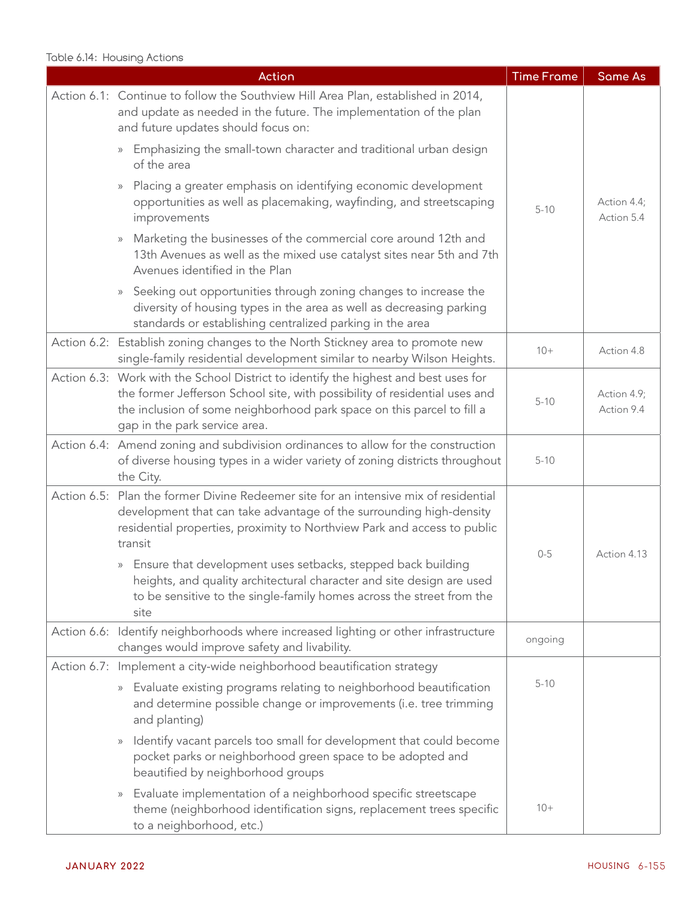#### Table 6.14: Housing Actions

| Action                                                                                                                                                                                                                                                                       | <b>Time Frame</b> | <b>Same As</b>            |
|------------------------------------------------------------------------------------------------------------------------------------------------------------------------------------------------------------------------------------------------------------------------------|-------------------|---------------------------|
| Action 6.1: Continue to follow the Southview Hill Area Plan, established in 2014,<br>and update as needed in the future. The implementation of the plan<br>and future updates should focus on:                                                                               |                   |                           |
| Emphasizing the small-town character and traditional urban design<br>$\rangle$<br>of the area                                                                                                                                                                                |                   |                           |
| Placing a greater emphasis on identifying economic development<br>$\rangle\rangle$<br>opportunities as well as placemaking, wayfinding, and streetscaping<br>improvements                                                                                                    | $5 - 10$          | Action 4.4;<br>Action 5.4 |
| Marketing the businesses of the commercial core around 12th and<br>$\rangle$<br>13th Avenues as well as the mixed use catalyst sites near 5th and 7th<br>Avenues identified in the Plan                                                                                      |                   |                           |
| Seeking out opportunities through zoning changes to increase the<br>$\rangle\rangle$<br>diversity of housing types in the area as well as decreasing parking<br>standards or establishing centralized parking in the area                                                    |                   |                           |
| Action 6.2: Establish zoning changes to the North Stickney area to promote new<br>single-family residential development similar to nearby Wilson Heights.                                                                                                                    | $10+$             | Action 4.8                |
| Action 6.3: Work with the School District to identify the highest and best uses for<br>the former Jefferson School site, with possibility of residential uses and<br>the inclusion of some neighborhood park space on this parcel to fill a<br>gap in the park service area. | $5 - 10$          | Action 4.9;<br>Action 9.4 |
| Action 6.4: Amend zoning and subdivision ordinances to allow for the construction<br>of diverse housing types in a wider variety of zoning districts throughout<br>the City.                                                                                                 | $5 - 10$          |                           |
| Action 6.5: Plan the former Divine Redeemer site for an intensive mix of residential<br>development that can take advantage of the surrounding high-density<br>residential properties, proximity to Northview Park and access to public<br>transit                           | $0 - 5$           | Action 4.13               |
| » Ensure that development uses setbacks, stepped back building<br>heights, and quality architectural character and site design are used<br>to be sensitive to the single-family homes across the street from the<br>site                                                     |                   |                           |
| Action 6.6: Identify neighborhoods where increased lighting or other infrastructure<br>changes would improve safety and livability.                                                                                                                                          | ongoing           |                           |
| Action 6.7: Implement a city-wide neighborhood beautification strategy                                                                                                                                                                                                       |                   |                           |
| » Evaluate existing programs relating to neighborhood beautification<br>and determine possible change or improvements (i.e. tree trimming<br>and planting)                                                                                                                   | $5 - 10$          |                           |
| Identify vacant parcels too small for development that could become<br>$\rangle\rangle$<br>pocket parks or neighborhood green space to be adopted and<br>beautified by neighborhood groups                                                                                   |                   |                           |
| Evaluate implementation of a neighborhood specific streetscape<br>$\rangle\rangle$<br>theme (neighborhood identification signs, replacement trees specific<br>to a neighborhood, etc.)                                                                                       | $10+$             |                           |